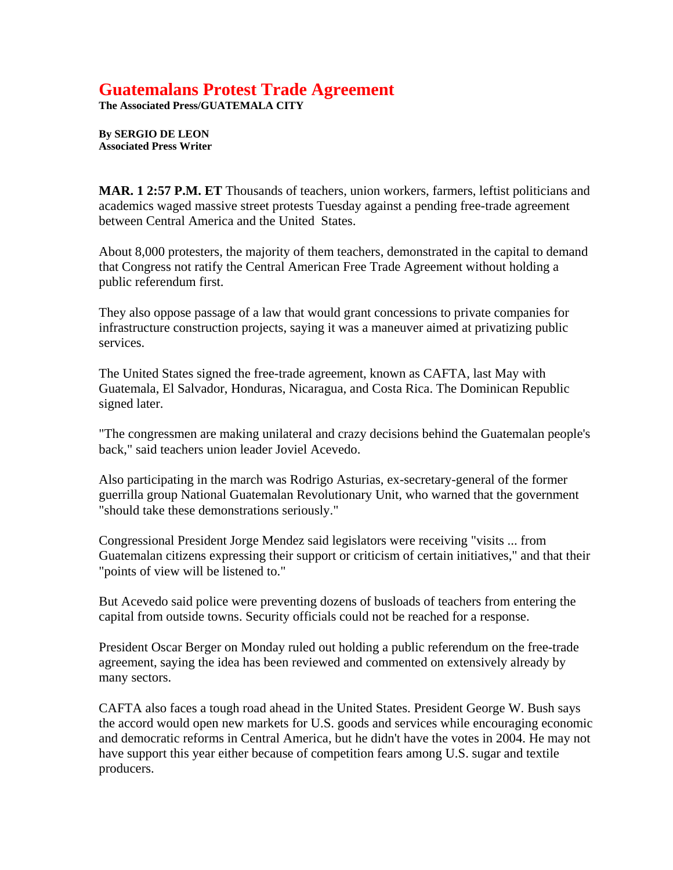## **Guatemalans Protest Trade Agreement**

**The Associated Press/GUATEMALA CITY** 

**By SERGIO DE LEON Associated Press Writer**

**MAR. 1 2:57 P.M. ET** Thousands of teachers, union workers, farmers, leftist politicians and academics waged massive street protests Tuesday against a pending free-trade agreement between Central America and the United States.

About 8,000 protesters, the majority of them teachers, demonstrated in the capital to demand that Congress not ratify the Central American Free Trade Agreement without holding a public referendum first.

They also oppose passage of a law that would grant concessions to private companies for infrastructure construction projects, saying it was a maneuver aimed at privatizing public services.

The United States signed the free-trade agreement, known as CAFTA, last May with Guatemala, El Salvador, Honduras, Nicaragua, and Costa Rica. The Dominican Republic signed later.

"The congressmen are making unilateral and crazy decisions behind the Guatemalan people's back," said teachers union leader Joviel Acevedo.

Also participating in the march was Rodrigo Asturias, ex-secretary-general of the former guerrilla group National Guatemalan Revolutionary Unit, who warned that the government "should take these demonstrations seriously."

Congressional President Jorge Mendez said legislators were receiving "visits ... from Guatemalan citizens expressing their support or criticism of certain initiatives," and that their "points of view will be listened to."

But Acevedo said police were preventing dozens of busloads of teachers from entering the capital from outside towns. Security officials could not be reached for a response.

President Oscar Berger on Monday ruled out holding a public referendum on the free-trade agreement, saying the idea has been reviewed and commented on extensively already by many sectors.

CAFTA also faces a tough road ahead in the United States. President George W. Bush says the accord would open new markets for U.S. goods and services while encouraging economic and democratic reforms in Central America, but he didn't have the votes in 2004. He may not have support this year either because of competition fears among U.S. sugar and textile producers.